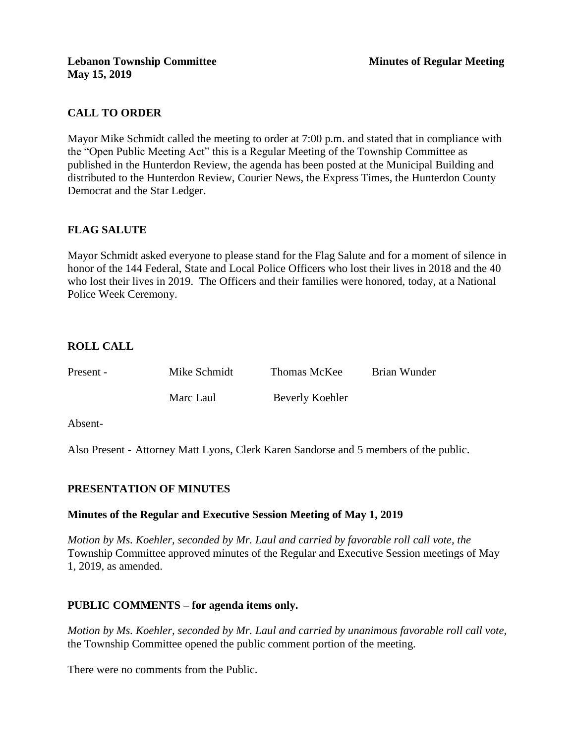## **CALL TO ORDER**

Mayor Mike Schmidt called the meeting to order at 7:00 p.m. and stated that in compliance with the "Open Public Meeting Act" this is a Regular Meeting of the Township Committee as published in the Hunterdon Review, the agenda has been posted at the Municipal Building and distributed to the Hunterdon Review, Courier News, the Express Times, the Hunterdon County Democrat and the Star Ledger.

## **FLAG SALUTE**

Mayor Schmidt asked everyone to please stand for the Flag Salute and for a moment of silence in honor of the 144 Federal, State and Local Police Officers who lost their lives in 2018 and the 40 who lost their lives in 2019. The Officers and their families were honored, today, at a National Police Week Ceremony.

## **ROLL CALL**

| Present - | Mike Schmidt | Thomas McKee    | Brian Wunder |
|-----------|--------------|-----------------|--------------|
|           | Marc Laul    | Beverly Koehler |              |

Absent-

Also Present - Attorney Matt Lyons, Clerk Karen Sandorse and 5 members of the public.

## **PRESENTATION OF MINUTES**

#### **Minutes of the Regular and Executive Session Meeting of May 1, 2019**

*Motion by Ms. Koehler, seconded by Mr. Laul and carried by favorable roll call vote, the* Township Committee approved minutes of the Regular and Executive Session meetings of May 1, 2019, as amended.

## **PUBLIC COMMENTS – for agenda items only.**

*Motion by Ms. Koehler, seconded by Mr. Laul and carried by unanimous favorable roll call vote,* the Township Committee opened the public comment portion of the meeting.

There were no comments from the Public.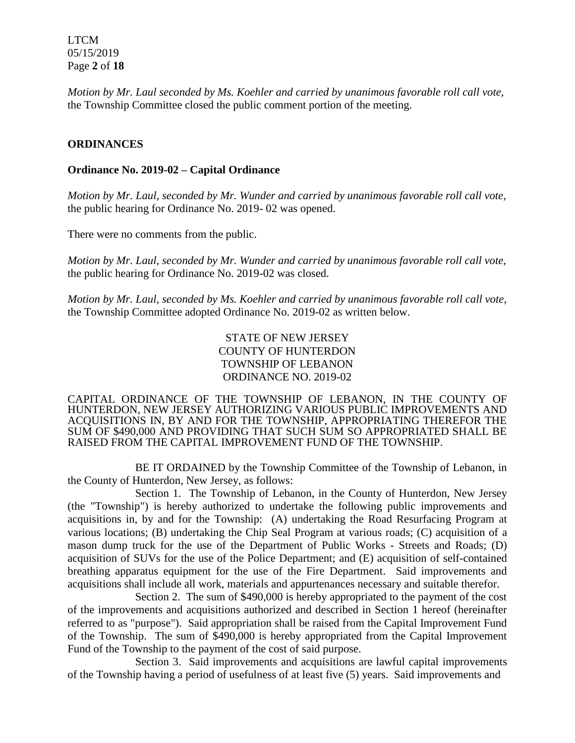LTCM 05/15/2019 Page **2** of **18**

*Motion by Mr. Laul seconded by Ms. Koehler and carried by unanimous favorable roll call vote,* the Township Committee closed the public comment portion of the meeting.

#### **ORDINANCES**

#### **Ordinance No. 2019-02 – Capital Ordinance**

*Motion by Mr. Laul, seconded by Mr. Wunder and carried by unanimous favorable roll call vote*, the public hearing for Ordinance No. 2019- 02 was opened.

There were no comments from the public.

*Motion by Mr. Laul, seconded by Mr. Wunder and carried by unanimous favorable roll call vote,* the public hearing for Ordinance No. 2019-02 was closed.

*Motion by Mr. Laul, seconded by Ms. Koehler and carried by unanimous favorable roll call vote,*  the Township Committee adopted Ordinance No. 2019-02 as written below.

> STATE OF NEW JERSEY COUNTY OF HUNTERDON TOWNSHIP OF LEBANON ORDINANCE NO. 2019-02

CAPITAL ORDINANCE OF THE TOWNSHIP OF LEBANON, IN THE COUNTY OF HUNTERDON, NEW JERSEY AUTHORIZING VARIOUS PUBLIC IMPROVEMENTS AND ACQUISITIONS IN, BY AND FOR THE TOWNSHIP, APPROPRIATING THEREFOR THE SUM OF \$490,000 AND PROVIDING THAT SUCH SUM SO APPROPRIATED SHALL BE RAISED FROM THE CAPITAL IMPROVEMENT FUND OF THE TOWNSHIP.

BE IT ORDAINED by the Township Committee of the Township of Lebanon, in the County of Hunterdon, New Jersey, as follows:

Section 1. The Township of Lebanon, in the County of Hunterdon, New Jersey (the "Township") is hereby authorized to undertake the following public improvements and acquisitions in, by and for the Township: (A) undertaking the Road Resurfacing Program at various locations; (B) undertaking the Chip Seal Program at various roads; (C) acquisition of a mason dump truck for the use of the Department of Public Works - Streets and Roads; (D) acquisition of SUVs for the use of the Police Department; and (E) acquisition of self-contained breathing apparatus equipment for the use of the Fire Department. Said improvements and acquisitions shall include all work, materials and appurtenances necessary and suitable therefor.

Section 2. The sum of \$490,000 is hereby appropriated to the payment of the cost of the improvements and acquisitions authorized and described in Section 1 hereof (hereinafter referred to as "purpose"). Said appropriation shall be raised from the Capital Improvement Fund of the Township. The sum of \$490,000 is hereby appropriated from the Capital Improvement Fund of the Township to the payment of the cost of said purpose.

Section 3. Said improvements and acquisitions are lawful capital improvements of the Township having a period of usefulness of at least five (5) years. Said improvements and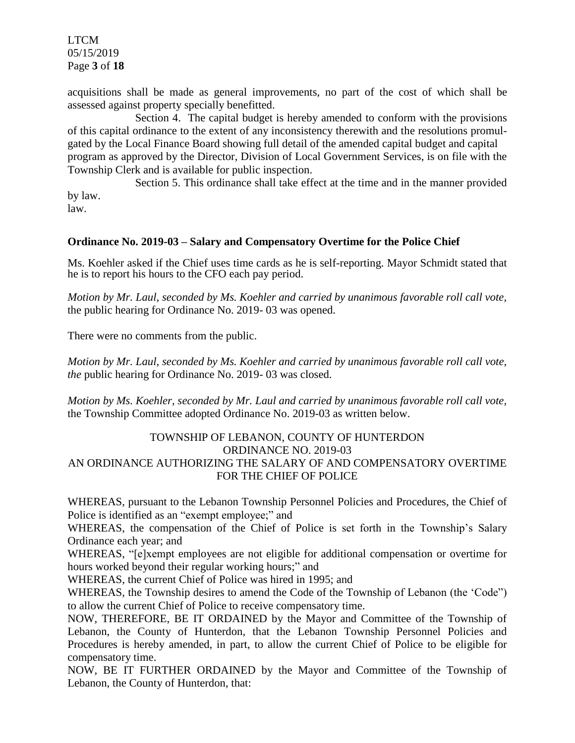LTCM 05/15/2019 Page **3** of **18**

acquisitions shall be made as general improvements, no part of the cost of which shall be assessed against property specially benefitted.

Section 4. The capital budget is hereby amended to conform with the provisions of this capital ordinance to the extent of any inconsistency therewith and the resolutions promulgated by the Local Finance Board showing full detail of the amended capital budget and capital program as approved by the Director, Division of Local Government Services, is on file with the Township Clerk and is available for public inspection.

Section 5. This ordinance shall take effect at the time and in the manner provided by law.

law.

### **Ordinance No. 2019-03 – Salary and Compensatory Overtime for the Police Chief**

Ms. Koehler asked if the Chief uses time cards as he is self-reporting. Mayor Schmidt stated that he is to report his hours to the CFO each pay period.

*Motion by Mr. Laul, seconded by Ms. Koehler and carried by unanimous favorable roll call vote,* the public hearing for Ordinance No. 2019- 03 was opened.

There were no comments from the public.

*Motion by Mr. Laul, seconded by Ms. Koehler and carried by unanimous favorable roll call vote, the* public hearing for Ordinance No. 2019- 03 was closed.

*Motion by Ms. Koehler, seconded by Mr. Laul and carried by unanimous favorable roll call vote,*  the Township Committee adopted Ordinance No. 2019-03 as written below.

### TOWNSHIP OF LEBANON, COUNTY OF HUNTERDON ORDINANCE NO. 2019-03 AN ORDINANCE AUTHORIZING THE SALARY OF AND COMPENSATORY OVERTIME FOR THE CHIEF OF POLICE

WHEREAS, pursuant to the Lebanon Township Personnel Policies and Procedures, the Chief of Police is identified as an "exempt employee;" and

WHEREAS, the compensation of the Chief of Police is set forth in the Township's Salary Ordinance each year; and

WHEREAS, "[e]xempt employees are not eligible for additional compensation or overtime for hours worked beyond their regular working hours;" and

WHEREAS, the current Chief of Police was hired in 1995; and

WHEREAS, the Township desires to amend the Code of the Township of Lebanon (the 'Code") to allow the current Chief of Police to receive compensatory time.

NOW, THEREFORE, BE IT ORDAINED by the Mayor and Committee of the Township of Lebanon, the County of Hunterdon, that the Lebanon Township Personnel Policies and Procedures is hereby amended, in part, to allow the current Chief of Police to be eligible for compensatory time.

NOW, BE IT FURTHER ORDAINED by the Mayor and Committee of the Township of Lebanon, the County of Hunterdon, that: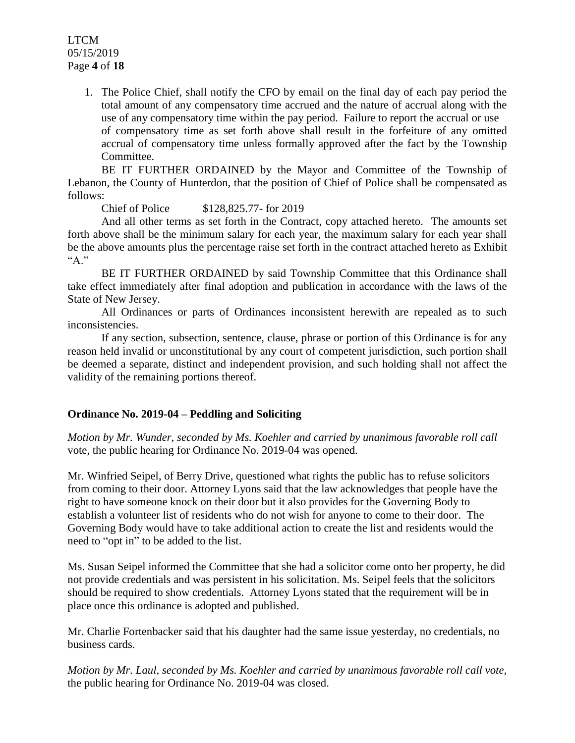### LTCM 05/15/2019 Page **4** of **18**

1. The Police Chief, shall notify the CFO by email on the final day of each pay period the total amount of any compensatory time accrued and the nature of accrual along with the use of any compensatory time within the pay period. Failure to report the accrual or use of compensatory time as set forth above shall result in the forfeiture of any omitted accrual of compensatory time unless formally approved after the fact by the Township Committee.

BE IT FURTHER ORDAINED by the Mayor and Committee of the Township of Lebanon, the County of Hunterdon, that the position of Chief of Police shall be compensated as follows:

Chief of Police \$128,825.77- for 2019

And all other terms as set forth in the Contract, copy attached hereto. The amounts set forth above shall be the minimum salary for each year, the maximum salary for each year shall be the above amounts plus the percentage raise set forth in the contract attached hereto as Exhibit  $A$ "

BE IT FURTHER ORDAINED by said Township Committee that this Ordinance shall take effect immediately after final adoption and publication in accordance with the laws of the State of New Jersey.

All Ordinances or parts of Ordinances inconsistent herewith are repealed as to such inconsistencies.

If any section, subsection, sentence, clause, phrase or portion of this Ordinance is for any reason held invalid or unconstitutional by any court of competent jurisdiction, such portion shall be deemed a separate, distinct and independent provision, and such holding shall not affect the validity of the remaining portions thereof.

## **Ordinance No. 2019-04 – Peddling and Soliciting**

*Motion by Mr. Wunder, seconded by Ms. Koehler and carried by unanimous favorable roll call*  vote, the public hearing for Ordinance No. 2019-04 was opened.

Mr. Winfried Seipel, of Berry Drive, questioned what rights the public has to refuse solicitors from coming to their door. Attorney Lyons said that the law acknowledges that people have the right to have someone knock on their door but it also provides for the Governing Body to establish a volunteer list of residents who do not wish for anyone to come to their door. The Governing Body would have to take additional action to create the list and residents would the need to "opt in" to be added to the list.

Ms. Susan Seipel informed the Committee that she had a solicitor come onto her property, he did not provide credentials and was persistent in his solicitation. Ms. Seipel feels that the solicitors should be required to show credentials. Attorney Lyons stated that the requirement will be in place once this ordinance is adopted and published.

Mr. Charlie Fortenbacker said that his daughter had the same issue yesterday, no credentials, no business cards.

*Motion by Mr. Laul, seconded by Ms. Koehler and carried by unanimous favorable roll call vote,* the public hearing for Ordinance No. 2019-04 was closed.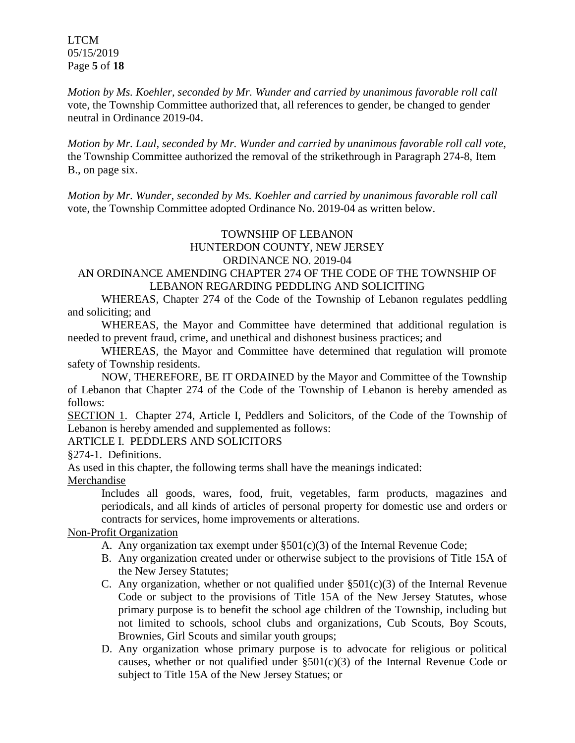LTCM 05/15/2019 Page **5** of **18**

*Motion by Ms. Koehler, seconded by Mr. Wunder and carried by unanimous favorable roll call*  vote, the Township Committee authorized that, all references to gender, be changed to gender neutral in Ordinance 2019-04.

*Motion by Mr. Laul, seconded by Mr. Wunder and carried by unanimous favorable roll call vote,*  the Township Committee authorized the removal of the strikethrough in Paragraph 274-8, Item B., on page six.

*Motion by Mr. Wunder, seconded by Ms. Koehler and carried by unanimous favorable roll call* vote, the Township Committee adopted Ordinance No. 2019-04 as written below.

#### TOWNSHIP OF LEBANON HUNTERDON COUNTY, NEW JERSEY ORDINANCE NO. 2019-04

# AN ORDINANCE AMENDING CHAPTER 274 OF THE CODE OF THE TOWNSHIP OF LEBANON REGARDING PEDDLING AND SOLICITING

WHEREAS, Chapter 274 of the Code of the Township of Lebanon regulates peddling and soliciting; and

WHEREAS, the Mayor and Committee have determined that additional regulation is needed to prevent fraud, crime, and unethical and dishonest business practices; and

WHEREAS, the Mayor and Committee have determined that regulation will promote safety of Township residents.

NOW, THEREFORE, BE IT ORDAINED by the Mayor and Committee of the Township of Lebanon that Chapter 274 of the Code of the Township of Lebanon is hereby amended as follows:

SECTION 1. Chapter 274, Article I, Peddlers and Solicitors, of the Code of the Township of Lebanon is hereby amended and supplemented as follows:

## ARTICLE I. PEDDLERS AND SOLICITORS

[§274-1. Definitions.](http://ecode360.com/print/HO1127?guid=10268475&children=true#10268477)

As used in this chapter, the following terms shall have the meanings indicated:

Merchandise

Includes all goods, wares, food, fruit, vegetables, farm products, magazines and periodicals, and all kinds of articles of personal property for domestic use and orders or contracts for services, home improvements or alterations.

## Non-Profit Organization

- A. Any organization tax exempt under  $\S501(c)(3)$  of the Internal Revenue Code;
- B. Any organization created under or otherwise subject to the provisions of Title 15A of the New Jersey Statutes;
- C. Any organization, whether or not qualified under  $\S501(c)(3)$  of the Internal Revenue Code or subject to the provisions of Title 15A of the New Jersey Statutes, whose primary purpose is to benefit the school age children of the Township, including but not limited to schools, school clubs and organizations, Cub Scouts, Boy Scouts, Brownies, Girl Scouts and similar youth groups;
- D. Any organization whose primary purpose is to advocate for religious or political causes, whether or not qualified under  $\S501(c)(3)$  of the Internal Revenue Code or subject to Title 15A of the New Jersey Statues; or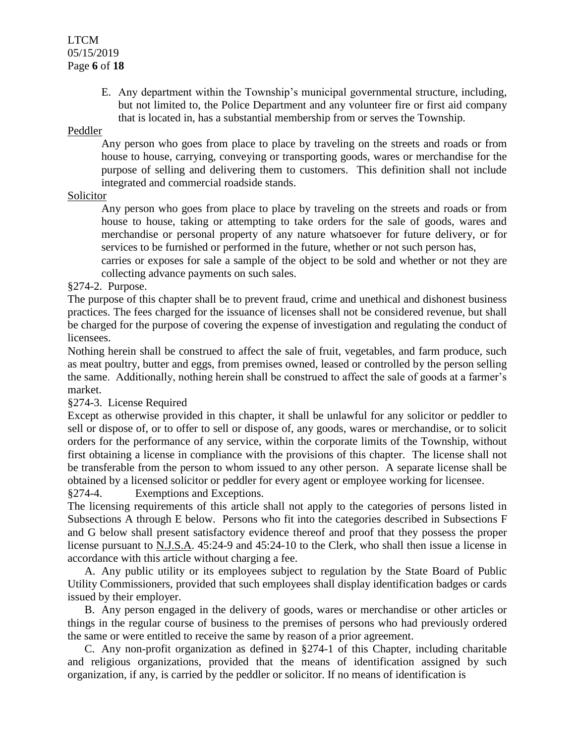### LTCM 05/15/2019 Page **6** of **18**

E. Any department within the Township's municipal governmental structure, including, but not limited to, the Police Department and any volunteer fire or first aid company that is located in, has a substantial membership from or serves the Township.

#### Peddler

Any person who goes from place to place by traveling on the streets and roads or from house to house, carrying, conveying or transporting goods, wares or merchandise for the purpose of selling and delivering them to customers. This definition shall not include integrated and commercial roadside stands.

## Solicitor

Any person who goes from place to place by traveling on the streets and roads or from house to house, taking or attempting to take orders for the sale of goods, wares and merchandise or personal property of any nature whatsoever for future delivery, or for services to be furnished or performed in the future, whether or not such person has,

carries or exposes for sale a sample of the object to be sold and whether or not they are collecting advance payments on such sales.

#### [§274-2. Purpose.](http://ecode360.com/print/HO1127?guid=10268475&children=true#10268476)

The purpose of this chapter shall be to prevent fraud, crime and unethical and dishonest business practices. The fees charged for the issuance of licenses shall not be considered revenue, but shall be charged for the purpose of covering the expense of investigation and regulating the conduct of licensees.

Nothing herein shall be construed to affect the sale of fruit, vegetables, and farm produce, such as meat poultry, butter and eggs, from premises owned, leased or controlled by the person selling the same. Additionally, nothing herein shall be construed to affect the sale of goods at a farmer's market.

## §274-3. License Required

Except as otherwise provided in this chapter, it shall be unlawful for any solicitor or peddler to sell or dispose of, or to offer to sell or dispose of, any goods, wares or merchandise, or to solicit orders for the performance of any service, within the corporate limits of the Township, without first obtaining a license in compliance with the provisions of this chapter. The license shall not be transferable from the person to whom issued to any other person. A separate license shall be obtained by a licensed solicitor or peddler for every agent or employee working for licensee.

§274-4. Exemptions and Exceptions.

The licensing requirements of this article shall not apply to the categories of persons listed in Subsections A through E below. Persons who fit into the categories described in Subsections F and G below shall present satisfactory evidence thereof and proof that they possess the proper license pursuant to N.J.S.A. 45:24-9 and 45:24-10 to the Clerk, who shall then issue a license in accordance with this article without charging a fee.

A. Any public utility or its employees subject to regulation by the State Board of Public Utility Commissioners, provided that such employees shall display identification badges or cards issued by their employer.

B. Any person engaged in the delivery of goods, wares or merchandise or other articles or things in the regular course of business to the premises of persons who had previously ordered the same or were entitled to receive the same by reason of a prior agreement.

C. Any non-profit organization as defined in §274-1 of this Chapter, including charitable and religious organizations, provided that the means of identification assigned by such organization, if any, is carried by the peddler or solicitor. If no means of identification is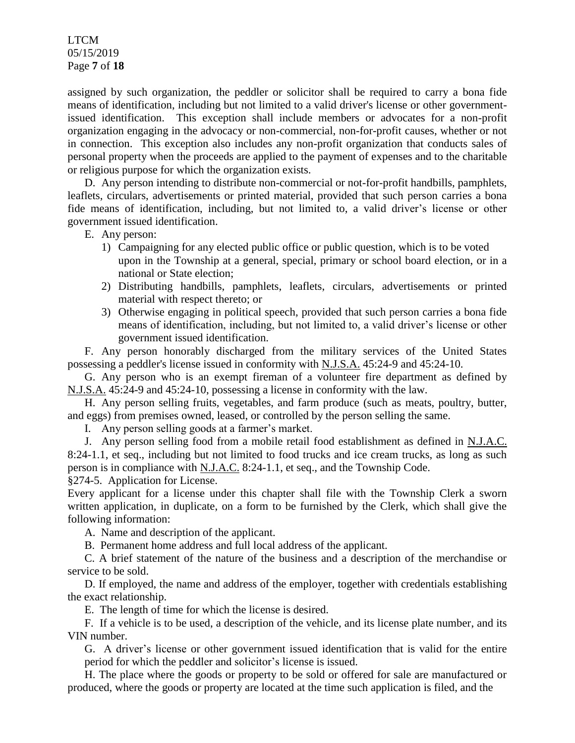LTCM 05/15/2019 Page **7** of **18**

assigned by such organization, the peddler or solicitor shall be required to carry a bona fide means of identification, including but not limited to a valid driver's license or other governmentissued identification. This exception shall include members or advocates for a non-profit organization engaging in the advocacy or non-commercial, non-for-profit causes, whether or not in connection. This exception also includes any non-profit organization that conducts sales of personal property when the proceeds are applied to the payment of expenses and to the charitable or religious purpose for which the organization exists.

D. Any person intending to distribute non-commercial or not-for-profit handbills, pamphlets, leaflets, circulars, advertisements or printed material, provided that such person carries a bona fide means of identification, including, but not limited to, a valid driver's license or other government issued identification.

E. Any person:

- 1) Campaigning for any elected public office or public question, which is to be voted upon in the Township at a general, special, primary or school board election, or in a national or State election;
- 2) Distributing handbills, pamphlets, leaflets, circulars, advertisements or printed material with respect thereto; or
- 3) Otherwise engaging in political speech, provided that such person carries a bona fide means of identification, including, but not limited to, a valid driver's license or other government issued identification.

F. Any person honorably discharged from the military services of the United States possessing a peddler's license issued in conformity with N.J.S.A. 45:24-9 and 45:24-10.

G. Any person who is an exempt fireman of a volunteer fire department as defined by N.J.S.A. 45:24-9 and 45:24-10, possessing a license in conformity with the law.

H. Any person selling fruits, vegetables, and farm produce (such as meats, poultry, butter, and eggs) from premises owned, leased, or controlled by the person selling the same.

I. Any person selling goods at a farmer's market.

J. Any person selling food from a mobile retail food establishment as defined in N.J.A.C. 8:24-1.1, et seq., including but not limited to food trucks and ice cream trucks, as long as such person is in compliance with N.J.A.C. 8:24-1.1, et seq., and the Township Code.

§274-5. Application for License.

Every applicant for a license under this chapter shall file with the Township Clerk a sworn written application, in duplicate, on a form to be furnished by the Clerk, which shall give the following information:

A. Name and description of the applicant.

B. Permanent home address and full local address of the applicant.

C. A brief statement of the nature of the business and a description of the merchandise or service to be sold.

D. If employed, the name and address of the employer, together with credentials establishing the exact relationship.

E. The length of time for which the license is desired.

F. If a vehicle is to be used, a description of the vehicle, and its license plate number, and its VIN number.

G. A driver's license or other government issued identification that is valid for the entire period for which the peddler and solicitor's license is issued.

H. The place where the goods or property to be sold or offered for sale are manufactured or produced, where the goods or property are located at the time such application is filed, and the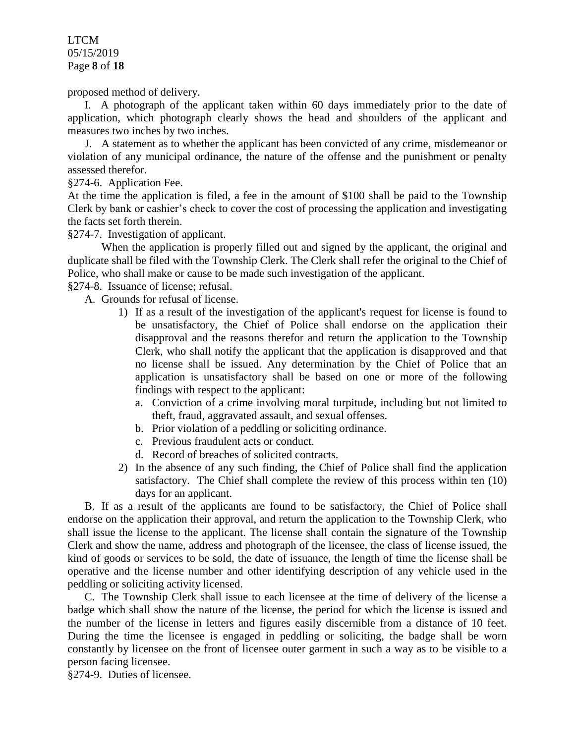LTCM 05/15/2019 Page **8** of **18**

proposed method of delivery.

I. A photograph of the applicant taken within 60 days immediately prior to the date of application, which photograph clearly shows the head and shoulders of the applicant and measures two inches by two inches.

J. A statement as to whether the applicant has been convicted of any crime, misdemeanor or violation of any municipal ordinance, the nature of the offense and the punishment or penalty assessed therefor.

§274-6. Application Fee.

At the time the application is filed, a fee in the amount of \$100 shall be paid to the Township Clerk by bank or cashier's check to cover the cost of processing the application and investigating the facts set forth therein.

§274-7. Investigation of applicant.

When the application is properly filled out and signed by the applicant, the original and duplicate shall be filed with the Township Clerk. The Clerk shall refer the original to the Chief of Police, who shall make or cause to be made such investigation of the applicant.

§274-8. Issuance of license; refusal.

A. Grounds for refusal of license.

- 1) If as a result of the investigation of the applicant's request for license is found to be unsatisfactory, the Chief of Police shall endorse on the application their disapproval and the reasons therefor and return the application to the Township Clerk, who shall notify the applicant that the application is disapproved and that no license shall be issued. Any determination by the Chief of Police that an application is unsatisfactory shall be based on one or more of the following findings with respect to the applicant:
	- a. Conviction of a crime involving moral turpitude, including but not limited to theft, fraud, aggravated assault, and sexual offenses.
	- b. Prior violation of a peddling or soliciting ordinance.
	- c. Previous fraudulent acts or conduct.
	- d. Record of breaches of solicited contracts.
- 2) In the absence of any such finding, the Chief of Police shall find the application satisfactory. The Chief shall complete the review of this process within ten (10) days for an applicant.

B. If as a result of the applicants are found to be satisfactory, the Chief of Police shall endorse on the application their approval, and return the application to the Township Clerk, who shall issue the license to the applicant. The license shall contain the signature of the Township Clerk and show the name, address and photograph of the licensee, the class of license issued, the kind of goods or services to be sold, the date of issuance, the length of time the license shall be operative and the license number and other identifying description of any vehicle used in the peddling or soliciting activity licensed.

C. The Township Clerk shall issue to each licensee at the time of delivery of the license a badge which shall show the nature of the license, the period for which the license is issued and the number of the license in letters and figures easily discernible from a distance of 10 feet. During the time the licensee is engaged in peddling or soliciting, the badge shall be worn constantly by licensee on the front of licensee outer garment in such a way as to be visible to a person facing licensee.

§274-9. Duties of licensee.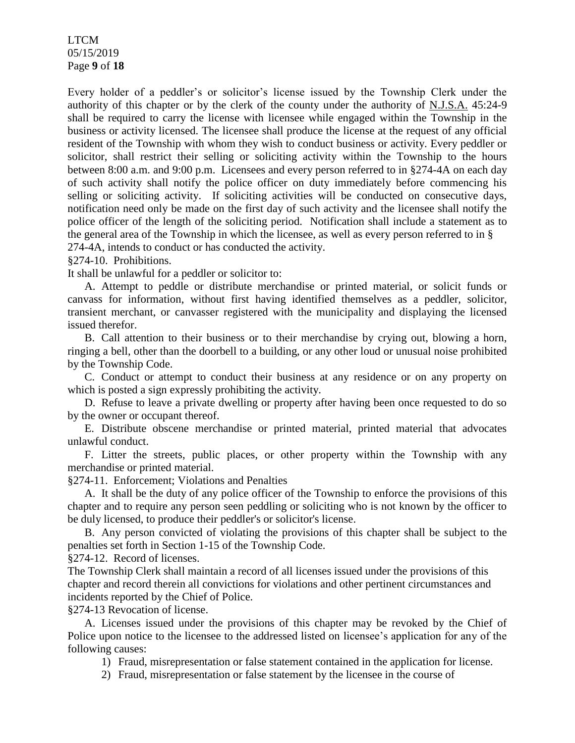LTCM 05/15/2019 Page **9** of **18**

Every holder of a peddler's or solicitor's license issued by the Township Clerk under the authority of this chapter or by the clerk of the county under the authority of N.J.S.A. 45:24-9 shall be required to carry the license with licensee while engaged within the Township in the business or activity licensed. The licensee shall produce the license at the request of any official resident of the Township with whom they wish to conduct business or activity. Every peddler or solicitor, shall restrict their selling or soliciting activity within the Township to the hours between 8:00 a.m. and 9:00 p.m. Licensees and every person referred to in §274-4A on each day of such activity shall notify the police officer on duty immediately before commencing his selling or soliciting activity. If soliciting activities will be conducted on consecutive days, notification need only be made on the first day of such activity and the licensee shall notify the police officer of the length of the soliciting period. Notification shall include a statement as to the general area of the Township in which the licensee, as well as every person referred to in § 274-4A, intends to conduct or has conducted the activity.

§274-10. Prohibitions.

It shall be unlawful for a peddler or solicitor to:

A. Attempt to peddle or distribute merchandise or printed material, or solicit funds or canvass for information, without first having identified themselves as a peddler, solicitor, transient merchant, or canvasser registered with the municipality and displaying the licensed issued therefor.

B. Call attention to their business or to their merchandise by crying out, blowing a horn, ringing a bell, other than the doorbell to a building, or any other loud or unusual noise prohibited by the Township Code.

C. Conduct or attempt to conduct their business at any residence or on any property on which is posted a sign expressly prohibiting the activity.

D. Refuse to leave a private dwelling or property after having been once requested to do so by the owner or occupant thereof.

E. Distribute obscene merchandise or printed material, printed material that advocates unlawful conduct.

F. Litter the streets, public places, or other property within the Township with any merchandise or printed material.

§274-11. Enforcement; Violations and Penalties

A. It shall be the duty of any police officer of the Township to enforce the provisions of this chapter and to require any person seen peddling or soliciting who is not known by the officer to be duly licensed, to produce their peddler's or solicitor's license.

B. Any person convicted of violating the provisions of this chapter shall be subject to the penalties set forth in Section 1-15 of the Township Code.

§274-12. Record of licenses.

The Township Clerk shall maintain a record of all licenses issued under the provisions of this chapter and record therein all convictions for violations and other pertinent circumstances and incidents reported by the Chief of Police.

§274-13 Revocation of license.

A. Licenses issued under the provisions of this chapter may be revoked by the Chief of Police upon notice to the licensee to the addressed listed on licensee's application for any of the following causes:

1) Fraud, misrepresentation or false statement contained in the application for license.

2) Fraud, misrepresentation or false statement by the licensee in the course of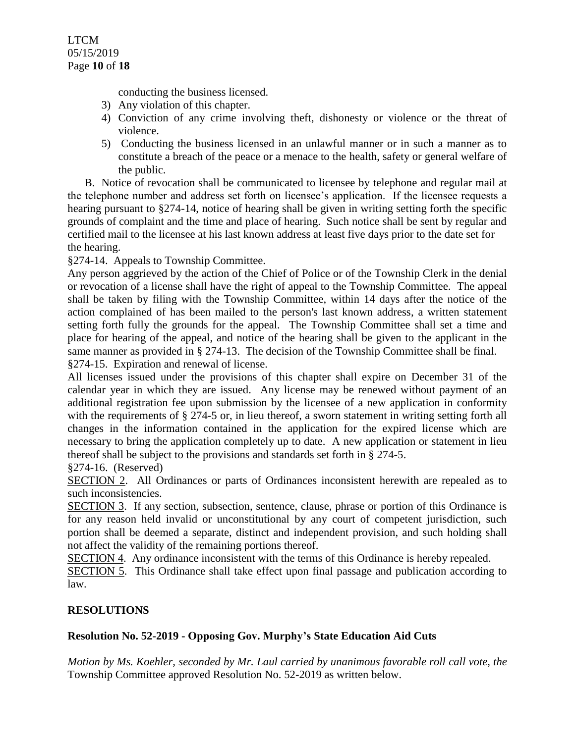conducting the business licensed.

- 3) Any violation of this chapter.
- 4) Conviction of any crime involving theft, dishonesty or violence or the threat of violence.
- 5) Conducting the business licensed in an unlawful manner or in such a manner as to constitute a breach of the peace or a menace to the health, safety or general welfare of the public.

B. Notice of revocation shall be communicated to licensee by telephone and regular mail at the telephone number and address set forth on licensee's application. If the licensee requests a hearing pursuant to §274-14, notice of hearing shall be given in writing setting forth the specific grounds of complaint and the time and place of hearing. Such notice shall be sent by regular and certified mail to the licensee at his last known address at least five days prior to the date set for the hearing.

§274-14. Appeals to Township Committee.

Any person aggrieved by the action of the Chief of Police or of the Township Clerk in the denial or revocation of a license shall have the right of appeal to the Township Committee. The appeal shall be taken by filing with the Township Committee, within 14 days after the notice of the action complained of has been mailed to the person's last known address, a written statement setting forth fully the grounds for the appeal. The Township Committee shall set a time and place for hearing of the appeal, and notice of the hearing shall be given to the applicant in the same manner as provided in § 274-13. The decision of the Township Committee shall be final. §274-15. Expiration and renewal of license.

All licenses issued under the provisions of this chapter shall expire on December 31 of the calendar year in which they are issued. Any license may be renewed without payment of an additional registration fee upon submission by the licensee of a new application in conformity with the requirements of § 274-5 or, in lieu thereof, a sworn statement in writing setting forth all changes in the information contained in the application for the expired license which are necessary to bring the application completely up to date. A new application or statement in lieu thereof shall be subject to the provisions and standards set forth in § 274-5.

§274-16. (Reserved)

SECTION 2. All Ordinances or parts of Ordinances inconsistent herewith are repealed as to such inconsistencies.

SECTION 3. If any section, subsection, sentence, clause, phrase or portion of this Ordinance is for any reason held invalid or unconstitutional by any court of competent jurisdiction, such portion shall be deemed a separate, distinct and independent provision, and such holding shall not affect the validity of the remaining portions thereof.

SECTION 4. Any ordinance inconsistent with the terms of this Ordinance is hereby repealed.

SECTION 5. This Ordinance shall take effect upon final passage and publication according to law.

## **RESOLUTIONS**

# **Resolution No. 52-2019 - Opposing Gov. Murphy's State Education Aid Cuts**

*Motion by Ms. Koehler, seconded by Mr. Laul carried by unanimous favorable roll call vote, the* Township Committee approved Resolution No. 52-2019 as written below.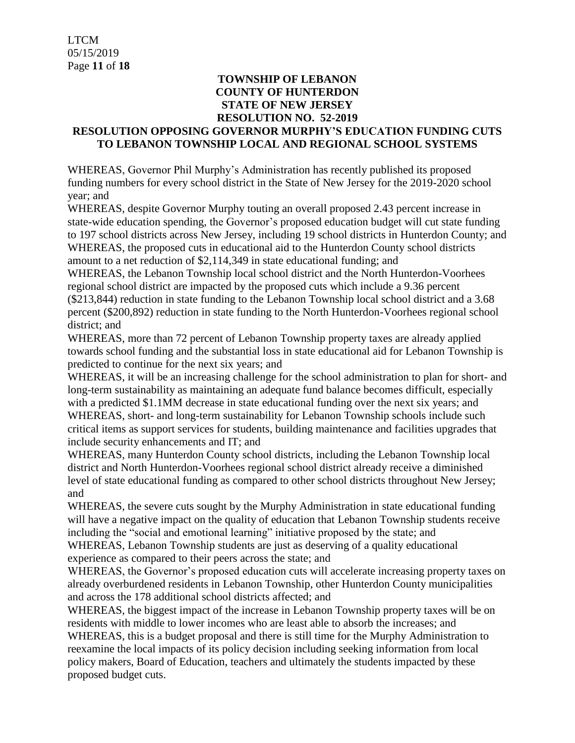## **TOWNSHIP OF LEBANON COUNTY OF HUNTERDON STATE OF NEW JERSEY RESOLUTION NO. 52-2019**

### **RESOLUTION OPPOSING GOVERNOR MURPHY'S EDUCATION FUNDING CUTS TO LEBANON TOWNSHIP LOCAL AND REGIONAL SCHOOL SYSTEMS**

WHEREAS, Governor Phil Murphy's Administration has recently published its proposed funding numbers for every school district in the State of New Jersey for the 2019-2020 school year; and

WHEREAS, despite Governor Murphy touting an overall proposed 2.43 percent increase in state-wide education spending, the Governor's proposed education budget will cut state funding to 197 school districts across New Jersey, including 19 school districts in Hunterdon County; and WHEREAS, the proposed cuts in educational aid to the Hunterdon County school districts amount to a net reduction of \$2,114,349 in state educational funding; and

WHEREAS, the Lebanon Township local school district and the North Hunterdon-Voorhees regional school district are impacted by the proposed cuts which include a 9.36 percent (\$213,844) reduction in state funding to the Lebanon Township local school district and a 3.68 percent (\$200,892) reduction in state funding to the North Hunterdon-Voorhees regional school district; and

WHEREAS, more than 72 percent of Lebanon Township property taxes are already applied towards school funding and the substantial loss in state educational aid for Lebanon Township is predicted to continue for the next six years; and

WHEREAS, it will be an increasing challenge for the school administration to plan for short- and long-term sustainability as maintaining an adequate fund balance becomes difficult, especially with a predicted \$1.1MM decrease in state educational funding over the next six years; and WHEREAS, short- and long-term sustainability for Lebanon Township schools include such critical items as support services for students, building maintenance and facilities upgrades that include security enhancements and IT; and

WHEREAS, many Hunterdon County school districts, including the Lebanon Township local district and North Hunterdon-Voorhees regional school district already receive a diminished level of state educational funding as compared to other school districts throughout New Jersey; and

WHEREAS, the severe cuts sought by the Murphy Administration in state educational funding will have a negative impact on the quality of education that Lebanon Township students receive including the "social and emotional learning" initiative proposed by the state; and

WHEREAS, Lebanon Township students are just as deserving of a quality educational experience as compared to their peers across the state; and

WHEREAS, the Governor's proposed education cuts will accelerate increasing property taxes on already overburdened residents in Lebanon Township, other Hunterdon County municipalities and across the 178 additional school districts affected; and

WHEREAS, the biggest impact of the increase in Lebanon Township property taxes will be on residents with middle to lower incomes who are least able to absorb the increases; and

WHEREAS, this is a budget proposal and there is still time for the Murphy Administration to reexamine the local impacts of its policy decision including seeking information from local policy makers, Board of Education, teachers and ultimately the students impacted by these proposed budget cuts.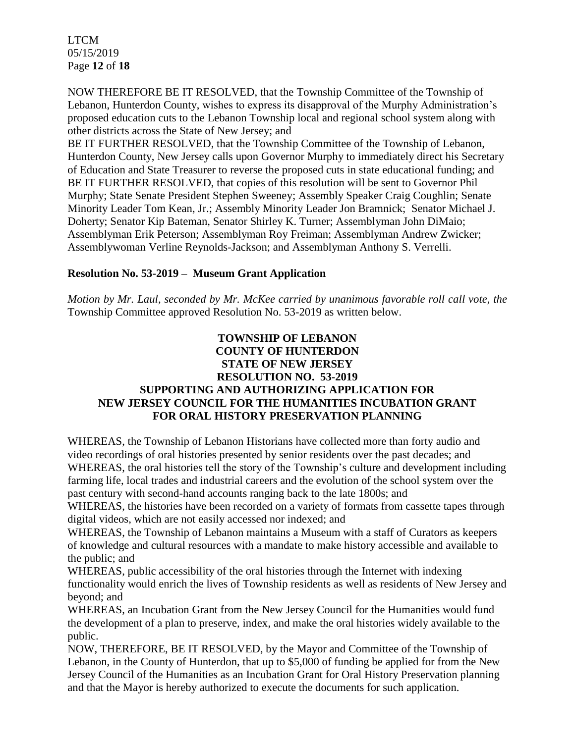LTCM 05/15/2019 Page **12** of **18**

NOW THEREFORE BE IT RESOLVED, that the Township Committee of the Township of Lebanon, Hunterdon County, wishes to express its disapproval of the Murphy Administration's proposed education cuts to the Lebanon Township local and regional school system along with other districts across the State of New Jersey; and

BE IT FURTHER RESOLVED, that the Township Committee of the Township of Lebanon, Hunterdon County, New Jersey calls upon Governor Murphy to immediately direct his Secretary of Education and State Treasurer to reverse the proposed cuts in state educational funding; and BE IT FURTHER RESOLVED, that copies of this resolution will be sent to Governor Phil Murphy; State Senate President Stephen Sweeney; Assembly Speaker Craig Coughlin; Senate Minority Leader Tom Kean, Jr.; Assembly Minority Leader Jon Bramnick; Senator Michael J. Doherty; Senator Kip Bateman, Senator Shirley K. Turner; Assemblyman John DiMaio; Assemblyman Erik Peterson; Assemblyman Roy Freiman; Assemblyman Andrew Zwicker; Assemblywoman Verline Reynolds-Jackson; and Assemblyman Anthony S. Verrelli.

### **Resolution No. 53-2019 – Museum Grant Application**

*Motion by Mr. Laul, seconded by Mr. McKee carried by unanimous favorable roll call vote, the* Township Committee approved Resolution No. 53-2019 as written below.

## **TOWNSHIP OF LEBANON COUNTY OF HUNTERDON STATE OF NEW JERSEY RESOLUTION NO. 53-2019 SUPPORTING AND AUTHORIZING APPLICATION FOR NEW JERSEY COUNCIL FOR THE HUMANITIES INCUBATION GRANT FOR ORAL HISTORY PRESERVATION PLANNING**

WHEREAS, the Township of Lebanon Historians have collected more than forty audio and video recordings of oral histories presented by senior residents over the past decades; and WHEREAS, the oral histories tell the story of the Township's culture and development including farming life, local trades and industrial careers and the evolution of the school system over the past century with second-hand accounts ranging back to the late 1800s; and

WHEREAS, the histories have been recorded on a variety of formats from cassette tapes through digital videos, which are not easily accessed nor indexed; and

WHEREAS, the Township of Lebanon maintains a Museum with a staff of Curators as keepers of knowledge and cultural resources with a mandate to make history accessible and available to the public; and

WHEREAS, public accessibility of the oral histories through the Internet with indexing functionality would enrich the lives of Township residents as well as residents of New Jersey and beyond; and

WHEREAS, an Incubation Grant from the New Jersey Council for the Humanities would fund the development of a plan to preserve, index, and make the oral histories widely available to the public.

NOW, THEREFORE, BE IT RESOLVED, by the Mayor and Committee of the Township of Lebanon, in the County of Hunterdon, that up to \$5,000 of funding be applied for from the New Jersey Council of the Humanities as an Incubation Grant for Oral History Preservation planning and that the Mayor is hereby authorized to execute the documents for such application.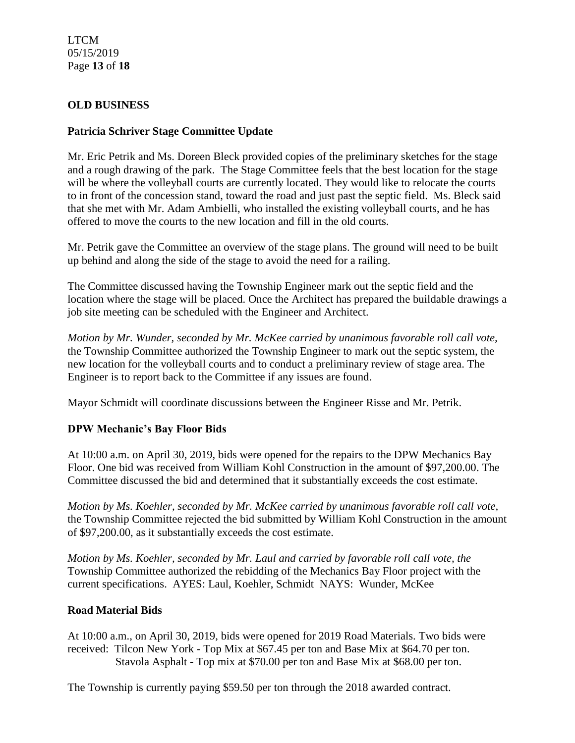LTCM 05/15/2019 Page **13** of **18**

## **OLD BUSINESS**

### **Patricia Schriver Stage Committee Update**

Mr. Eric Petrik and Ms. Doreen Bleck provided copies of the preliminary sketches for the stage and a rough drawing of the park. The Stage Committee feels that the best location for the stage will be where the volleyball courts are currently located. They would like to relocate the courts to in front of the concession stand, toward the road and just past the septic field. Ms. Bleck said that she met with Mr. Adam Ambielli, who installed the existing volleyball courts, and he has offered to move the courts to the new location and fill in the old courts.

Mr. Petrik gave the Committee an overview of the stage plans. The ground will need to be built up behind and along the side of the stage to avoid the need for a railing.

The Committee discussed having the Township Engineer mark out the septic field and the location where the stage will be placed. Once the Architect has prepared the buildable drawings a job site meeting can be scheduled with the Engineer and Architect.

*Motion by Mr. Wunder, seconded by Mr. McKee carried by unanimous favorable roll call vote,* the Township Committee authorized the Township Engineer to mark out the septic system, the new location for the volleyball courts and to conduct a preliminary review of stage area. The Engineer is to report back to the Committee if any issues are found.

Mayor Schmidt will coordinate discussions between the Engineer Risse and Mr. Petrik.

## **DPW Mechanic's Bay Floor Bids**

At 10:00 a.m. on April 30, 2019, bids were opened for the repairs to the DPW Mechanics Bay Floor. One bid was received from William Kohl Construction in the amount of \$97,200.00. The Committee discussed the bid and determined that it substantially exceeds the cost estimate.

*Motion by Ms. Koehler, seconded by Mr. McKee carried by unanimous favorable roll call vote,* the Township Committee rejected the bid submitted by William Kohl Construction in the amount of \$97,200.00, as it substantially exceeds the cost estimate.

*Motion by Ms. Koehler, seconded by Mr. Laul and carried by favorable roll call vote, the* Township Committee authorized the rebidding of the Mechanics Bay Floor project with the current specifications. AYES: Laul, Koehler, Schmidt NAYS: Wunder, McKee

## **Road Material Bids**

At 10:00 a.m., on April 30, 2019, bids were opened for 2019 Road Materials. Two bids were received: Tilcon New York - Top Mix at \$67.45 per ton and Base Mix at \$64.70 per ton. Stavola Asphalt - Top mix at \$70.00 per ton and Base Mix at \$68.00 per ton.

The Township is currently paying \$59.50 per ton through the 2018 awarded contract.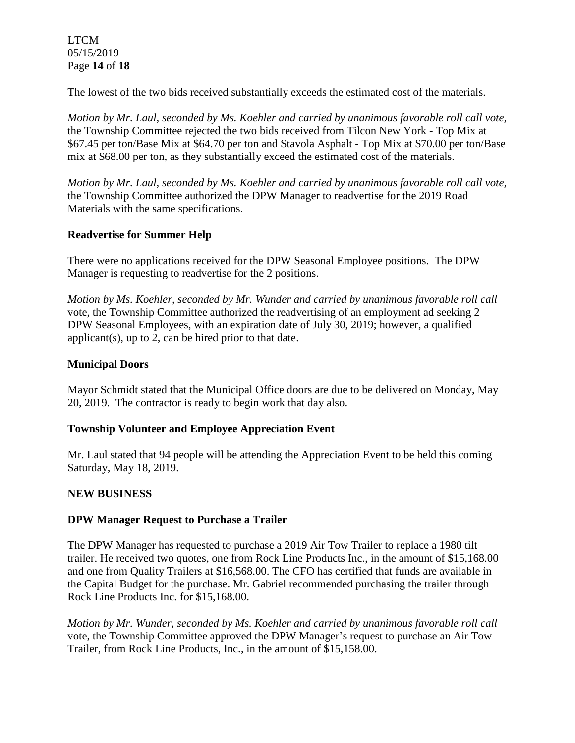### LTCM 05/15/2019 Page **14** of **18**

The lowest of the two bids received substantially exceeds the estimated cost of the materials.

*Motion by Mr. Laul, seconded by Ms. Koehler and carried by unanimous favorable roll call vote,* the Township Committee rejected the two bids received from Tilcon New York - Top Mix at \$67.45 per ton/Base Mix at \$64.70 per ton and Stavola Asphalt - Top Mix at \$70.00 per ton/Base mix at \$68.00 per ton, as they substantially exceed the estimated cost of the materials.

*Motion by Mr. Laul, seconded by Ms. Koehler and carried by unanimous favorable roll call vote,* the Township Committee authorized the DPW Manager to readvertise for the 2019 Road Materials with the same specifications.

## **Readvertise for Summer Help**

There were no applications received for the DPW Seasonal Employee positions. The DPW Manager is requesting to readvertise for the 2 positions.

*Motion by Ms. Koehler, seconded by Mr. Wunder and carried by unanimous favorable roll call*  vote, the Township Committee authorized the readvertising of an employment ad seeking 2 DPW Seasonal Employees, with an expiration date of July 30, 2019; however, a qualified applicant(s), up to 2, can be hired prior to that date.

## **Municipal Doors**

Mayor Schmidt stated that the Municipal Office doors are due to be delivered on Monday, May 20, 2019. The contractor is ready to begin work that day also.

## **Township Volunteer and Employee Appreciation Event**

Mr. Laul stated that 94 people will be attending the Appreciation Event to be held this coming Saturday, May 18, 2019.

## **NEW BUSINESS**

## **DPW Manager Request to Purchase a Trailer**

The DPW Manager has requested to purchase a 2019 Air Tow Trailer to replace a 1980 tilt trailer. He received two quotes, one from Rock Line Products Inc., in the amount of \$15,168.00 and one from Quality Trailers at \$16,568.00. The CFO has certified that funds are available in the Capital Budget for the purchase. Mr. Gabriel recommended purchasing the trailer through Rock Line Products Inc. for \$15,168.00.

*Motion by Mr. Wunder, seconded by Ms. Koehler and carried by unanimous favorable roll call*  vote, the Township Committee approved the DPW Manager's request to purchase an Air Tow Trailer, from Rock Line Products, Inc., in the amount of \$15,158.00.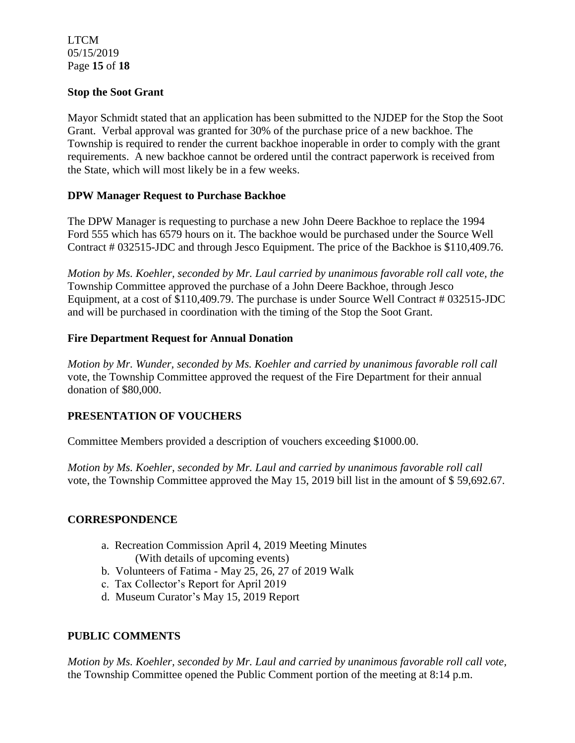LTCM 05/15/2019 Page **15** of **18**

### **Stop the Soot Grant**

Mayor Schmidt stated that an application has been submitted to the NJDEP for the Stop the Soot Grant. Verbal approval was granted for 30% of the purchase price of a new backhoe. The Township is required to render the current backhoe inoperable in order to comply with the grant requirements. A new backhoe cannot be ordered until the contract paperwork is received from the State, which will most likely be in a few weeks.

### **DPW Manager Request to Purchase Backhoe**

The DPW Manager is requesting to purchase a new John Deere Backhoe to replace the 1994 Ford 555 which has 6579 hours on it. The backhoe would be purchased under the Source Well Contract # 032515-JDC and through Jesco Equipment. The price of the Backhoe is \$110,409.76.

*Motion by Ms. Koehler, seconded by Mr. Laul carried by unanimous favorable roll call vote, the* Township Committee approved the purchase of a John Deere Backhoe, through Jesco Equipment, at a cost of \$110,409.79. The purchase is under Source Well Contract # 032515-JDC and will be purchased in coordination with the timing of the Stop the Soot Grant.

### **Fire Department Request for Annual Donation**

*Motion by Mr. Wunder, seconded by Ms. Koehler and carried by unanimous favorable roll call*  vote, the Township Committee approved the request of the Fire Department for their annual donation of \$80,000.

## **PRESENTATION OF VOUCHERS**

Committee Members provided a description of vouchers exceeding \$1000.00.

*Motion by Ms. Koehler, seconded by Mr. Laul and carried by unanimous favorable roll call*  vote, the Township Committee approved the May 15, 2019 bill list in the amount of \$ 59,692.67.

#### **CORRESPONDENCE**

- a. Recreation Commission April 4, 2019 Meeting Minutes (With details of upcoming events)
- b. Volunteers of Fatima May 25, 26, 27 of 2019 Walk
- c. Tax Collector's Report for April 2019
- d. Museum Curator's May 15, 2019 Report

## **PUBLIC COMMENTS**

*Motion by Ms. Koehler, seconded by Mr. Laul and carried by unanimous favorable roll call vote,* the Township Committee opened the Public Comment portion of the meeting at 8:14 p.m.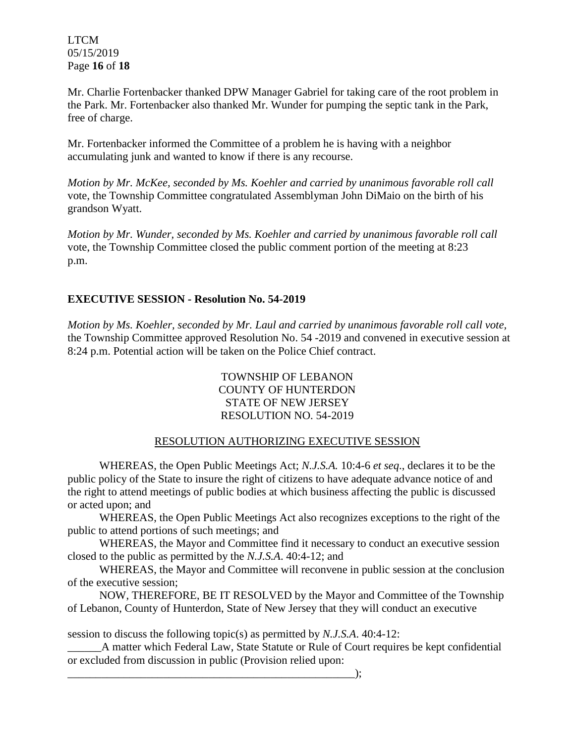LTCM 05/15/2019 Page **16** of **18**

Mr. Charlie Fortenbacker thanked DPW Manager Gabriel for taking care of the root problem in the Park. Mr. Fortenbacker also thanked Mr. Wunder for pumping the septic tank in the Park, free of charge.

Mr. Fortenbacker informed the Committee of a problem he is having with a neighbor accumulating junk and wanted to know if there is any recourse.

*Motion by Mr. McKee, seconded by Ms. Koehler and carried by unanimous favorable roll call*  vote, the Township Committee congratulated Assemblyman John DiMaio on the birth of his grandson Wyatt.

*Motion by Mr. Wunder, seconded by Ms. Koehler and carried by unanimous favorable roll call*  vote, the Township Committee closed the public comment portion of the meeting at 8:23 p.m.

# **EXECUTIVE SESSION - Resolution No. 54-2019**

*Motion by Ms. Koehler, seconded by Mr. Laul and carried by unanimous favorable roll call vote,* the Township Committee approved Resolution No. 54 -2019 and convened in executive session at 8:24 p.m. Potential action will be taken on the Police Chief contract.

> TOWNSHIP OF LEBANON COUNTY OF HUNTERDON STATE OF NEW JERSEY RESOLUTION NO. 54-2019

## RESOLUTION AUTHORIZING EXECUTIVE SESSION

WHEREAS, the Open Public Meetings Act; *N.J.S.A.* 10:4-6 *et seq*., declares it to be the public policy of the State to insure the right of citizens to have adequate advance notice of and the right to attend meetings of public bodies at which business affecting the public is discussed or acted upon; and

WHEREAS, the Open Public Meetings Act also recognizes exceptions to the right of the public to attend portions of such meetings; and

WHEREAS, the Mayor and Committee find it necessary to conduct an executive session closed to the public as permitted by the *N.J.S.A*. 40:4-12; and

WHEREAS, the Mayor and Committee will reconvene in public session at the conclusion of the executive session;

NOW, THEREFORE, BE IT RESOLVED by the Mayor and Committee of the Township of Lebanon, County of Hunterdon, State of New Jersey that they will conduct an executive

session to discuss the following topic(s) as permitted by *N.J.S.A*. 40:4-12:

\_\_\_\_\_\_A matter which Federal Law, State Statute or Rule of Court requires be kept confidential or excluded from discussion in public (Provision relied upon:

\_\_\_\_\_\_\_\_\_\_\_\_\_\_\_\_\_\_\_\_\_\_\_\_\_\_\_\_\_\_\_\_\_\_\_\_\_\_\_\_\_\_\_\_\_\_\_\_\_\_\_);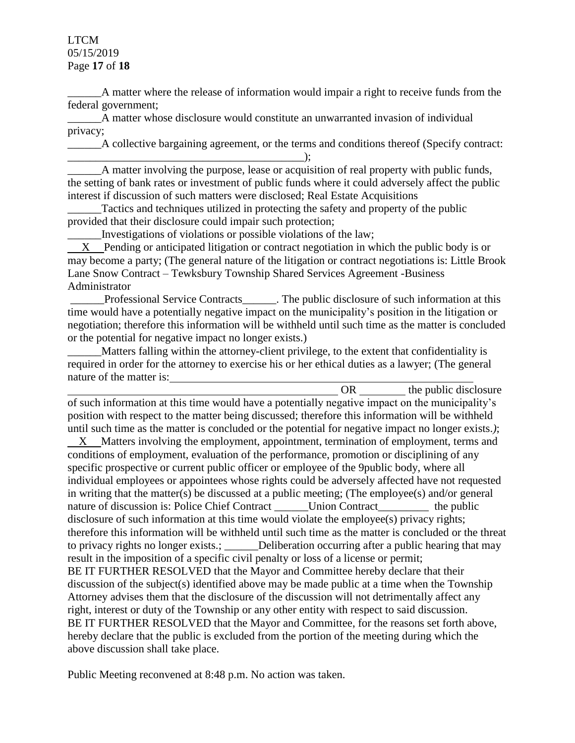LTCM 05/15/2019 Page **17** of **18**

\_\_\_\_\_\_A matter where the release of information would impair a right to receive funds from the federal government;

\_\_\_\_\_\_A matter whose disclosure would constitute an unwarranted invasion of individual privacy;

\_\_\_\_\_\_A collective bargaining agreement, or the terms and conditions thereof (Specify contract:

\_\_\_\_\_\_\_\_\_\_\_\_\_\_\_\_\_\_\_\_\_\_\_\_\_\_\_\_\_\_\_\_\_\_\_\_\_\_\_\_\_\_); \_\_\_\_\_\_A matter involving the purpose, lease or acquisition of real property with public funds, the setting of bank rates or investment of public funds where it could adversely affect the public interest if discussion of such matters were disclosed; Real Estate Acquisitions

Tactics and techniques utilized in protecting the safety and property of the public provided that their disclosure could impair such protection;

\_\_\_\_\_\_Investigations of violations or possible violations of the law;

 X Pending or anticipated litigation or contract negotiation in which the public body is or may become a party; (The general nature of the litigation or contract negotiations is: Little Brook Lane Snow Contract – Tewksbury Township Shared Services Agreement -Business Administrator

Professional Service Contracts \_\_\_\_\_\_. The public disclosure of such information at this time would have a potentially negative impact on the municipality's position in the litigation or negotiation; therefore this information will be withheld until such time as the matter is concluded or the potential for negative impact no longer exists.)

\_\_\_\_\_\_Matters falling within the attorney-client privilege, to the extent that confidentiality is required in order for the attorney to exercise his or her ethical duties as a lawyer; (The general nature of the matter is:

OR the public disclosure of such information at this time would have a potentially negative impact on the municipality's position with respect to the matter being discussed; therefore this information will be withheld until such time as the matter is concluded or the potential for negative impact no longer exists.*)*; X Matters involving the employment, appointment, termination of employment, terms and conditions of employment, evaluation of the performance, promotion or disciplining of any specific prospective or current public officer or employee of the 9public body, where all individual employees or appointees whose rights could be adversely affected have not requested in writing that the matter(s) be discussed at a public meeting; (The employee(s) and/or general nature of discussion is: Police Chief Contract Union Contract the public disclosure of such information at this time would violate the employee(s) privacy rights; therefore this information will be withheld until such time as the matter is concluded or the threat to privacy rights no longer exists.; \_\_\_\_\_\_Deliberation occurring after a public hearing that may result in the imposition of a specific civil penalty or loss of a license or permit; BE IT FURTHER RESOLVED that the Mayor and Committee hereby declare that their discussion of the subject(s) identified above may be made public at a time when the Township Attorney advises them that the disclosure of the discussion will not detrimentally affect any right, interest or duty of the Township or any other entity with respect to said discussion. BE IT FURTHER RESOLVED that the Mayor and Committee, for the reasons set forth above, hereby declare that the public is excluded from the portion of the meeting during which the above discussion shall take place.

Public Meeting reconvened at 8:48 p.m. No action was taken.